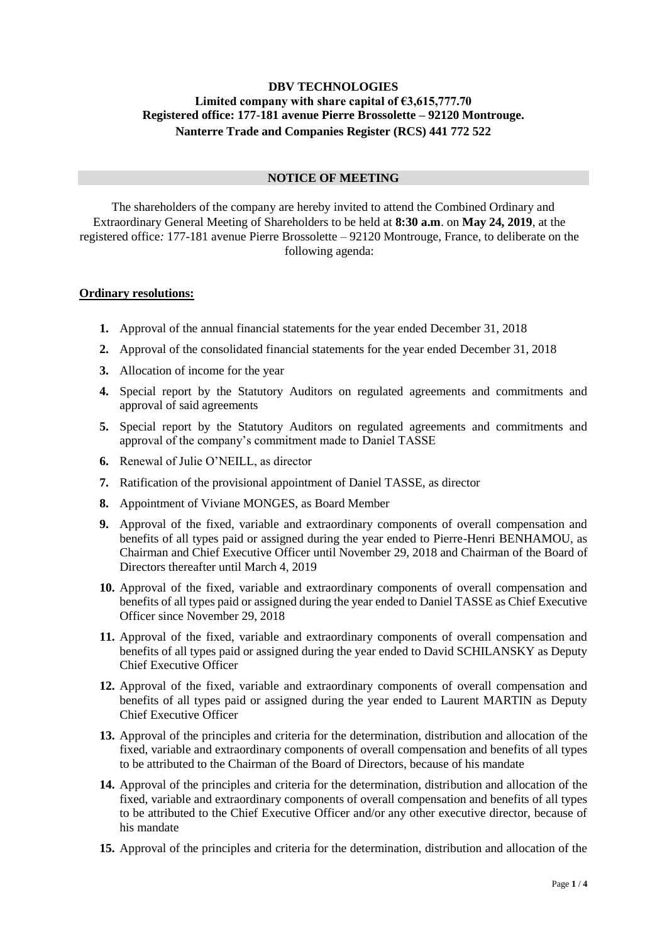## **DBV TECHNOLOGIES Limited company with share capital of €3,615,777.70 Registered office: 177-181 avenue Pierre Brossolette – 92120 Montrouge. Nanterre Trade and Companies Register (RCS) 441 772 522**

### **NOTICE OF MEETING**

The shareholders of the company are hereby invited to attend the Combined Ordinary and Extraordinary General Meeting of Shareholders to be held at **8:30 a.m**. on **May 24, 2019**, at the registered office*:* 177-181 avenue Pierre Brossolette – 92120 Montrouge, France, to deliberate on the following agenda:

#### **Ordinary resolutions:**

- **1.** Approval of the annual financial statements for the year ended December 31, 2018
- **2.** Approval of the consolidated financial statements for the year ended December 31, 2018
- **3.** Allocation of income for the year
- **4.** Special report by the Statutory Auditors on regulated agreements and commitments and approval of said agreements
- **5.** Special report by the Statutory Auditors on regulated agreements and commitments and approval of the company's commitment made to Daniel TASSE
- **6.** Renewal of Julie O'NEILL, as director
- **7.** Ratification of the provisional appointment of Daniel TASSE, as director
- **8.** Appointment of Viviane MONGES, as Board Member
- **9.** Approval of the fixed, variable and extraordinary components of overall compensation and benefits of all types paid or assigned during the year ended to Pierre-Henri BENHAMOU, as Chairman and Chief Executive Officer until November 29, 2018 and Chairman of the Board of Directors thereafter until March 4, 2019
- **10.** Approval of the fixed, variable and extraordinary components of overall compensation and benefits of all types paid or assigned during the year ended to Daniel TASSE as Chief Executive Officer since November 29, 2018
- **11.** Approval of the fixed, variable and extraordinary components of overall compensation and benefits of all types paid or assigned during the year ended to David SCHILANSKY as Deputy Chief Executive Officer
- **12.** Approval of the fixed, variable and extraordinary components of overall compensation and benefits of all types paid or assigned during the year ended to Laurent MARTIN as Deputy Chief Executive Officer
- **13.** Approval of the principles and criteria for the determination, distribution and allocation of the fixed, variable and extraordinary components of overall compensation and benefits of all types to be attributed to the Chairman of the Board of Directors, because of his mandate
- **14.** Approval of the principles and criteria for the determination, distribution and allocation of the fixed, variable and extraordinary components of overall compensation and benefits of all types to be attributed to the Chief Executive Officer and/or any other executive director, because of his mandate
- **15.** Approval of the principles and criteria for the determination, distribution and allocation of the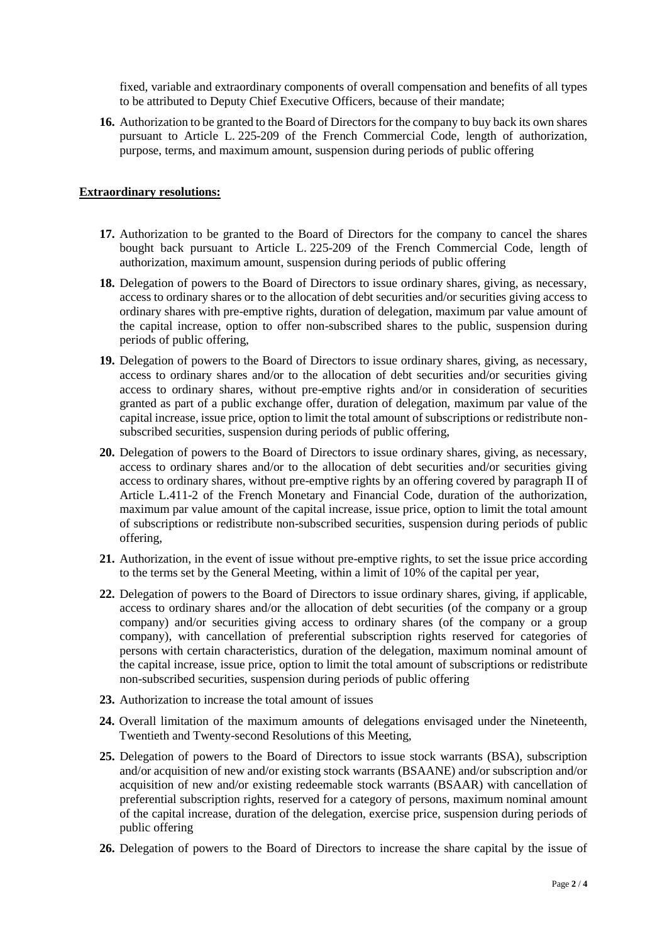fixed, variable and extraordinary components of overall compensation and benefits of all types to be attributed to Deputy Chief Executive Officers, because of their mandate;

**16.** Authorization to be granted to the Board of Directors for the company to buy back its own shares pursuant to Article L. 225-209 of the French Commercial Code, length of authorization, purpose, terms, and maximum amount, suspension during periods of public offering

## **Extraordinary resolutions:**

- **17.** Authorization to be granted to the Board of Directors for the company to cancel the shares bought back pursuant to Article L. 225-209 of the French Commercial Code, length of authorization, maximum amount, suspension during periods of public offering
- **18.** Delegation of powers to the Board of Directors to issue ordinary shares, giving, as necessary, access to ordinary shares or to the allocation of debt securities and/or securities giving access to ordinary shares with pre-emptive rights, duration of delegation, maximum par value amount of the capital increase, option to offer non-subscribed shares to the public, suspension during periods of public offering,
- **19.** Delegation of powers to the Board of Directors to issue ordinary shares, giving, as necessary, access to ordinary shares and/or to the allocation of debt securities and/or securities giving access to ordinary shares, without pre-emptive rights and/or in consideration of securities granted as part of a public exchange offer, duration of delegation, maximum par value of the capital increase, issue price, option to limit the total amount of subscriptions or redistribute nonsubscribed securities, suspension during periods of public offering,
- **20.** Delegation of powers to the Board of Directors to issue ordinary shares, giving, as necessary, access to ordinary shares and/or to the allocation of debt securities and/or securities giving access to ordinary shares, without pre-emptive rights by an offering covered by paragraph II of Article L.411-2 of the French Monetary and Financial Code, duration of the authorization, maximum par value amount of the capital increase, issue price, option to limit the total amount of subscriptions or redistribute non-subscribed securities, suspension during periods of public offering,
- **21.** Authorization, in the event of issue without pre-emptive rights, to set the issue price according to the terms set by the General Meeting, within a limit of 10% of the capital per year,
- **22.** Delegation of powers to the Board of Directors to issue ordinary shares, giving, if applicable, access to ordinary shares and/or the allocation of debt securities (of the company or a group company) and/or securities giving access to ordinary shares (of the company or a group company), with cancellation of preferential subscription rights reserved for categories of persons with certain characteristics, duration of the delegation, maximum nominal amount of the capital increase, issue price, option to limit the total amount of subscriptions or redistribute non-subscribed securities, suspension during periods of public offering
- **23.** Authorization to increase the total amount of issues
- **24.** Overall limitation of the maximum amounts of delegations envisaged under the Nineteenth, Twentieth and Twenty-second Resolutions of this Meeting,
- **25.** Delegation of powers to the Board of Directors to issue stock warrants (BSA), subscription and/or acquisition of new and/or existing stock warrants (BSAANE) and/or subscription and/or acquisition of new and/or existing redeemable stock warrants (BSAAR) with cancellation of preferential subscription rights, reserved for a category of persons, maximum nominal amount of the capital increase, duration of the delegation, exercise price, suspension during periods of public offering
- **26.** Delegation of powers to the Board of Directors to increase the share capital by the issue of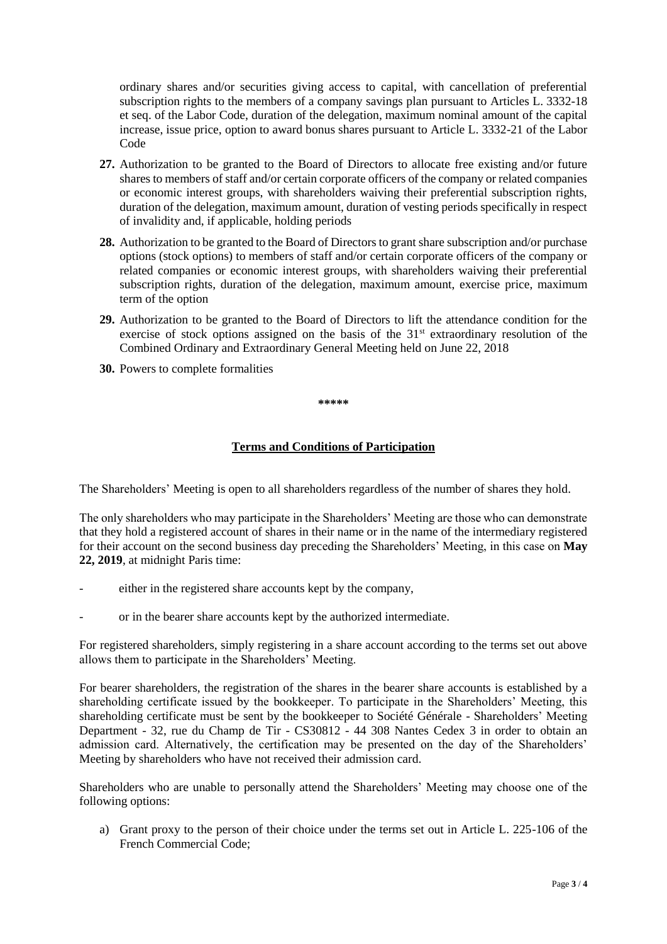ordinary shares and/or securities giving access to capital, with cancellation of preferential subscription rights to the members of a company savings plan pursuant to Articles L. 3332-18 et seq. of the Labor Code, duration of the delegation, maximum nominal amount of the capital increase, issue price, option to award bonus shares pursuant to Article L. 3332-21 of the Labor Code

- **27.** Authorization to be granted to the Board of Directors to allocate free existing and/or future shares to members of staff and/or certain corporate officers of the company or related companies or economic interest groups, with shareholders waiving their preferential subscription rights, duration of the delegation, maximum amount, duration of vesting periods specifically in respect of invalidity and, if applicable, holding periods
- **28.** Authorization to be granted to the Board of Directors to grant share subscription and/or purchase options (stock options) to members of staff and/or certain corporate officers of the company or related companies or economic interest groups, with shareholders waiving their preferential subscription rights, duration of the delegation, maximum amount, exercise price, maximum term of the option
- **29.** Authorization to be granted to the Board of Directors to lift the attendance condition for the exercise of stock options assigned on the basis of the  $31<sup>st</sup>$  extraordinary resolution of the Combined Ordinary and Extraordinary General Meeting held on June 22, 2018
- **30.** Powers to complete formalities

**\*\*\*\*\***

# **Terms and Conditions of Participation**

The Shareholders' Meeting is open to all shareholders regardless of the number of shares they hold.

The only shareholders who may participate in the Shareholders' Meeting are those who can demonstrate that they hold a registered account of shares in their name or in the name of the intermediary registered for their account on the second business day preceding the Shareholders' Meeting, in this case on **May 22, 2019**, at midnight Paris time:

- either in the registered share accounts kept by the company,
- or in the bearer share accounts kept by the authorized intermediate.

For registered shareholders, simply registering in a share account according to the terms set out above allows them to participate in the Shareholders' Meeting.

For bearer shareholders, the registration of the shares in the bearer share accounts is established by a shareholding certificate issued by the bookkeeper. To participate in the Shareholders' Meeting, this shareholding certificate must be sent by the bookkeeper to Société Générale - Shareholders' Meeting Department - 32, rue du Champ de Tir - CS30812 - 44 308 Nantes Cedex 3 in order to obtain an admission card. Alternatively, the certification may be presented on the day of the Shareholders' Meeting by shareholders who have not received their admission card.

Shareholders who are unable to personally attend the Shareholders' Meeting may choose one of the following options:

a) Grant proxy to the person of their choice under the terms set out in Article L. 225-106 of the French Commercial Code;